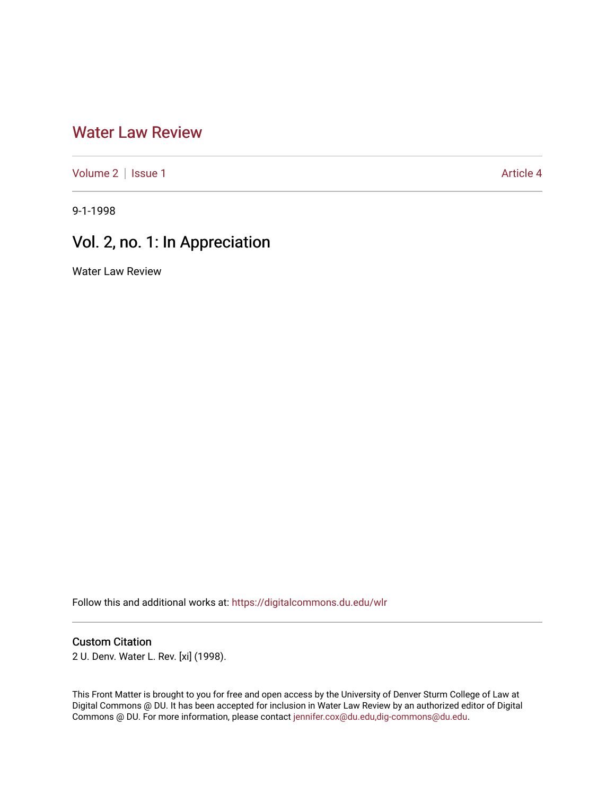## [Water Law Review](https://digitalcommons.du.edu/wlr)

[Volume 2](https://digitalcommons.du.edu/wlr/vol2) | [Issue 1](https://digitalcommons.du.edu/wlr/vol2/iss1) Article 4

9-1-1998

# Vol. 2, no. 1: In Appreciation

Water Law Review

Follow this and additional works at: [https://digitalcommons.du.edu/wlr](https://digitalcommons.du.edu/wlr?utm_source=digitalcommons.du.edu%2Fwlr%2Fvol2%2Fiss1%2F4&utm_medium=PDF&utm_campaign=PDFCoverPages) 

### Custom Citation

2 U. Denv. Water L. Rev. [xi] (1998).

This Front Matter is brought to you for free and open access by the University of Denver Sturm College of Law at Digital Commons @ DU. It has been accepted for inclusion in Water Law Review by an authorized editor of Digital Commons @ DU. For more information, please contact [jennifer.cox@du.edu,dig-commons@du.edu.](mailto:jennifer.cox@du.edu,dig-commons@du.edu)